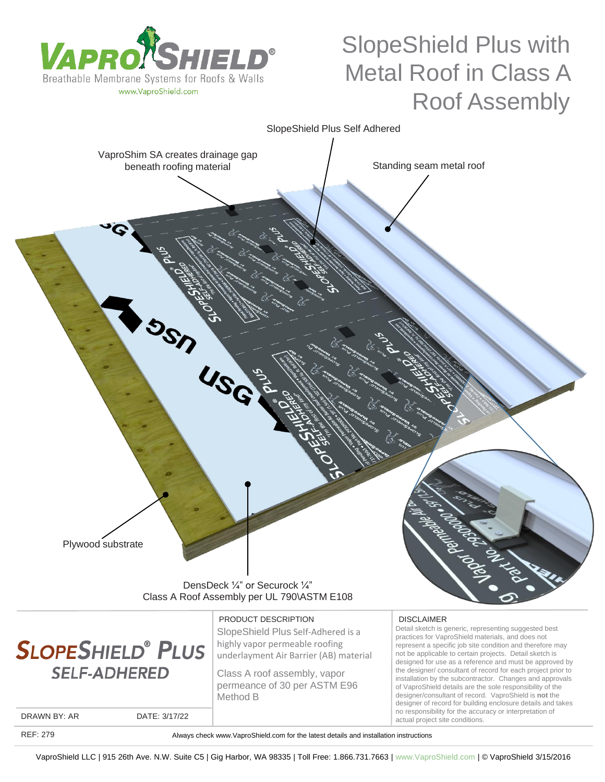



PRODUCT DESCRIPTION

SlopeShield Plus Self-Adhered is a highly vapor permeable roofing underlayment Air Barrier (AB) material

Class A roof assembly, vapor permeance of 30 per ASTM E96 Method B

DISCLAIMER

Detail sketch is generic, representing suggested best practices for VaproShield materials, and does not represent a specific job site condition and therefore may not be applicable to certain projects. Detail sketch is designed for use as a reference and must be approved by the designer/ consultant of record for each project prior to installation by the subcontractor. Changes and approvals of VaproShield details are the sole responsibility of the designer/consultant of record. VaproShield is **not** the designer of record for building enclosure details and takes no responsibility for the accuracy or interpretation of actual project site conditions.

DRAWN BY: AR DATE: 3/17/22

REF: 279

Always check www.VaproShield.com for the latest details and installation instructions

VaproShield LLC | 915 26th Ave. N.W. Suite C5 | Gig Harbor, WA 98335 | Toll Free: 1.866.731.7663 | www.VaproShield.com | © VaproShield 3/15/2016